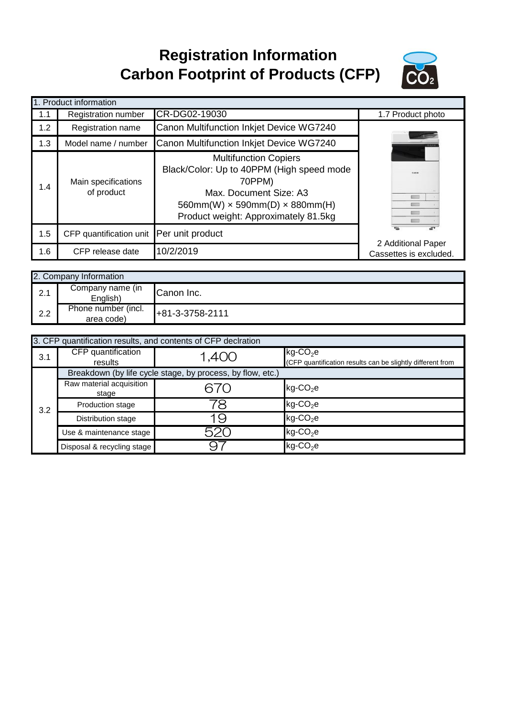## **Registration Information Carbon Footprint of Products (CFP)**



| 1. Product information |                                          |                                                                                                                                                                                                     |                        |  |  |
|------------------------|------------------------------------------|-----------------------------------------------------------------------------------------------------------------------------------------------------------------------------------------------------|------------------------|--|--|
| 1.1                    | Registration number                      | CR-DG02-19030                                                                                                                                                                                       | 1.7 Product photo      |  |  |
| 1.2                    | Registration name                        | Canon Multifunction Inkjet Device WG7240                                                                                                                                                            |                        |  |  |
| 1.3                    | Model name / number                      | Canon Multifunction Inkjet Device WG7240                                                                                                                                                            |                        |  |  |
| 1.4                    | Main specifications<br>of product        | <b>Multifunction Copiers</b><br>Black/Color: Up to 40PPM (High speed mode<br>70PPM)<br>Max. Document Size: A3<br>$560mm(W) \times 590mm(D) \times 880mm(H)$<br>Product weight: Approximately 81.5kg |                        |  |  |
| 1.5                    | CFP quantification unit Per unit product |                                                                                                                                                                                                     | 2 Additional Paper     |  |  |
| 1.6                    | CFP release date                         | 10/2/2019                                                                                                                                                                                           | Cassettes is excluded. |  |  |

|     | 2. Company Information            |                 |  |
|-----|-----------------------------------|-----------------|--|
| 2.1 | Company name (in<br>English)      | Canon Inc.      |  |
| 2.2 | Phone number (incl.<br>area code) | +81-3-3758-2111 |  |

|     | 3. CFP quantification results, and contents of CFP declration |       |                                                                                       |  |  |
|-----|---------------------------------------------------------------|-------|---------------------------------------------------------------------------------------|--|--|
| 3.1 | CFP quantification<br>results                                 | 1,400 | $kg$ -CO <sub>2</sub> e<br>(CFP quantification results can be slightly different from |  |  |
|     | Breakdown (by life cycle stage, by process, by flow, etc.)    |       |                                                                                       |  |  |
|     | Raw material acquisition<br>stage                             |       | $kg$ -CO <sub>2</sub> e                                                               |  |  |
| 3.2 | Production stage                                              |       | $kg$ -CO <sub>2</sub> e                                                               |  |  |
|     | Distribution stage                                            | ب     | $kg$ -CO <sub>2</sub> e                                                               |  |  |
|     | Use & maintenance stage                                       | 520   | $kg$ -CO <sub>2</sub> e                                                               |  |  |
|     | Disposal & recycling stage                                    |       | $kg$ -CO <sub>2</sub> e                                                               |  |  |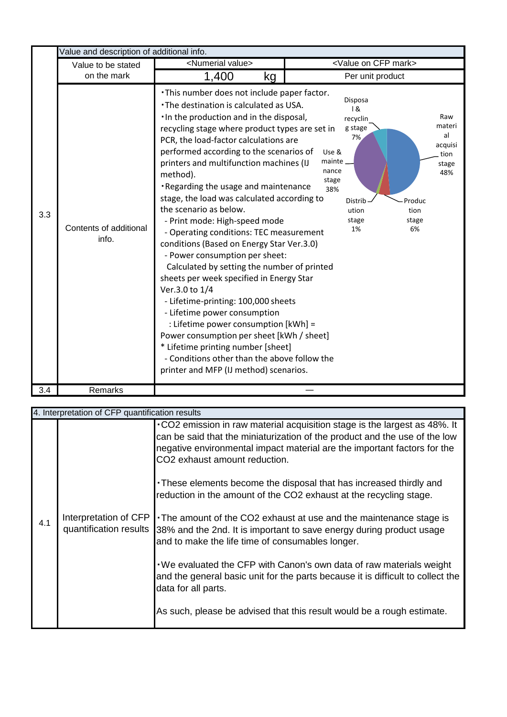|     | Value and description of additional info. |                                                                                                                                                                                                                                                                                                                                                                                                                                                                                                                                                                                                                                                                                                                                                                                                                                                                                                                                                                                                                      |                                                                                                                                                                                                                      |  |  |
|-----|-------------------------------------------|----------------------------------------------------------------------------------------------------------------------------------------------------------------------------------------------------------------------------------------------------------------------------------------------------------------------------------------------------------------------------------------------------------------------------------------------------------------------------------------------------------------------------------------------------------------------------------------------------------------------------------------------------------------------------------------------------------------------------------------------------------------------------------------------------------------------------------------------------------------------------------------------------------------------------------------------------------------------------------------------------------------------|----------------------------------------------------------------------------------------------------------------------------------------------------------------------------------------------------------------------|--|--|
|     | Value to be stated                        | <numerial value=""></numerial>                                                                                                                                                                                                                                                                                                                                                                                                                                                                                                                                                                                                                                                                                                                                                                                                                                                                                                                                                                                       | <value cfp="" mark="" on=""></value>                                                                                                                                                                                 |  |  |
|     | on the mark                               | 1,400<br>kg                                                                                                                                                                                                                                                                                                                                                                                                                                                                                                                                                                                                                                                                                                                                                                                                                                                                                                                                                                                                          | Per unit product                                                                                                                                                                                                     |  |  |
| 3.3 | Contents of additional<br>info.           | . This number does not include paper factor.<br>. The destination is calculated as USA.<br>. In the production and in the disposal,<br>recycling stage where product types are set in<br>PCR, the load-factor calculations are<br>performed according to the scenarios of<br>printers and multifunction machines (IJ<br>method).<br>Regarding the usage and maintenance<br>stage, the load was calculated according to<br>the scenario as below.<br>- Print mode: High-speed mode<br>- Operating conditions: TEC measurement<br>conditions (Based on Energy Star Ver.3.0)<br>- Power consumption per sheet:<br>Calculated by setting the number of printed<br>sheets per week specified in Energy Star<br>Ver.3.0 to 1/4<br>- Lifetime-printing: 100,000 sheets<br>- Lifetime power consumption<br>: Lifetime power consumption [kWh] =<br>Power consumption per sheet [kWh / sheet]<br>* Lifetime printing number [sheet]<br>- Conditions other than the above follow the<br>printer and MFP (IJ method) scenarios. | Disposa<br>18<br>Raw<br>recyclin<br>materi<br>g stage<br>al<br>7%<br>acquisi<br>Use &<br>tion<br>mainte<br>stage<br>nance<br>48%<br>stage<br>38%<br>Distrib<br>Produc<br>ution<br>tion<br>stage<br>stage<br>1%<br>6% |  |  |
| 3.4 | Remarks                                   |                                                                                                                                                                                                                                                                                                                                                                                                                                                                                                                                                                                                                                                                                                                                                                                                                                                                                                                                                                                                                      |                                                                                                                                                                                                                      |  |  |

|     | 4. Interpretation of CFP quantification results |                                                                                                                                                                                                                                                                                                                                                                                                                                                                                                                                                                                                                                                                                                                                                      |  |  |  |
|-----|-------------------------------------------------|------------------------------------------------------------------------------------------------------------------------------------------------------------------------------------------------------------------------------------------------------------------------------------------------------------------------------------------------------------------------------------------------------------------------------------------------------------------------------------------------------------------------------------------------------------------------------------------------------------------------------------------------------------------------------------------------------------------------------------------------------|--|--|--|
| 4.1 |                                                 | . CO2 emission in raw material acquisition stage is the largest as 48%. It<br>can be said that the miniaturization of the product and the use of the low<br>negative environmental impact material are the important factors for the<br>CO <sub>2</sub> exhaust amount reduction.<br>• These elements become the disposal that has increased thirdly and<br>reduction in the amount of the CO2 exhaust at the recycling stage.<br>Interpretation of CFP   The amount of the CO2 exhaust at use and the maintenance stage is<br>quantification results 38% and the 2nd. It is important to save energy during product usage<br>and to make the life time of consumables longer.<br>We evaluated the CFP with Canon's own data of raw materials weight |  |  |  |
|     |                                                 | and the general basic unit for the parts because it is difficult to collect the<br>data for all parts.<br>As such, please be advised that this result would be a rough estimate.                                                                                                                                                                                                                                                                                                                                                                                                                                                                                                                                                                     |  |  |  |
|     |                                                 |                                                                                                                                                                                                                                                                                                                                                                                                                                                                                                                                                                                                                                                                                                                                                      |  |  |  |